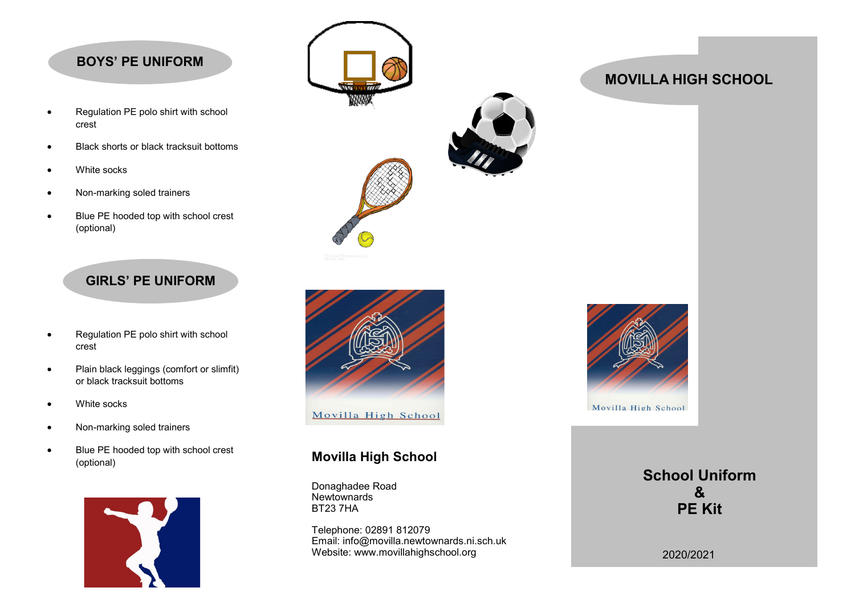## **BOYS' PE UNIFORM**

- Regulation PE polo shirt with school crest
- Black shorts or black tracksuit bottoms
- White socks
- Non-marking soled trainers
- Blue PE hooded top with school crest (optional)

# **GIRLS' PE UNIFORM**

- Regulation PE polo shirt with school crest
- Plain black leggings (comfort or slimfit) or black tracksuit bottoms
- White socks
- Non-marking soled trainers
- Blue PE hooded top with school crest (optional)







## **Movilla High School**

Donaghadee Road **Newtownards** BT23 7HA

Telephone: 02891 812079 Email: info@movilla.newtownards.ni.sch.uk Website: www.movillahighschool.org



# **School Uniform & PE Kit**

2020/2021

# **MOVILLA HIGH SCHOOL**